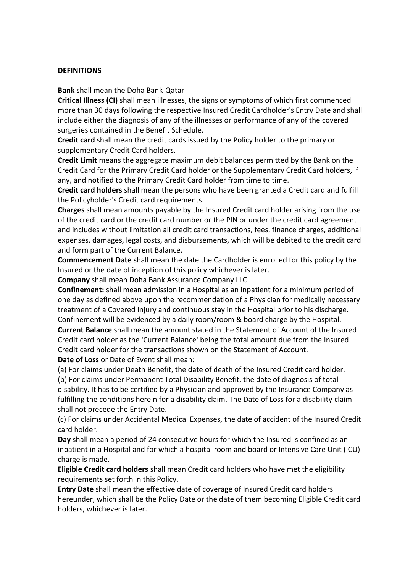#### **DEFINITIONS**

**Bank** shall mean the Doha Bank-Qatar

**Critical Illness (CI)** shall mean illnesses, the signs or symptoms of which first commenced more than 30 days following the respective Insured Credit Cardholder's Entry Date and shall include either the diagnosis of any of the illnesses or performance of any of the covered surgeries contained in the Benefit Schedule.

**Credit card** shall mean the credit cards issued by the Policy holder to the primary or supplementary Credit Card holders.

**Credit Limit** means the aggregate maximum debit balances permitted by the Bank on the Credit Card for the Primary Credit Card holder or the Supplementary Credit Card holders, if any, and notified to the Primary Credit Card holder from time to time.

**Credit card holders** shall mean the persons who have been granted a Credit card and fulfill the Policyholder's Credit card requirements.

**Charges** shall mean amounts payable by the Insured Credit card holder arising from the use of the credit card or the credit card number or the PIN or under the credit card agreement and includes without limitation all credit card transactions, fees, finance charges, additional expenses, damages, legal costs, and disbursements, which will be debited to the credit card and form part of the Current Balance.

**Commencement Date** shall mean the date the Cardholder is enrolled for this policy by the Insured or the date of inception of this policy whichever is later.

**Company** shall mean Doha Bank Assurance Company LLC

**Confinement:** shall mean admission in a Hospital as an inpatient for a minimum period of one day as defined above upon the recommendation of a Physician for medically necessary treatment of a Covered Injury and continuous stay in the Hospital prior to his discharge. Confinement will be evidenced by a daily room/room & board charge by the Hospital. **Current Balance** shall mean the amount stated in the Statement of Account of the Insured Credit card holder as the 'Current Balance' being the total amount due from the Insured

Credit card holder for the transactions shown on the Statement of Account.

**Date of Loss** or Date of Event shall mean:

(a) For claims under Death Benefit, the date of death of the Insured Credit card holder.

(b) For claims under Permanent Total Disability Benefit, the date of diagnosis of total disability. It has to be certified by a Physician and approved by the Insurance Company as fulfilling the conditions herein for a disability claim. The Date of Loss for a disability claim shall not precede the Entry Date.

(c) For claims under Accidental Medical Expenses, the date of accident of the Insured Credit card holder.

**Day** shall mean a period of 24 consecutive hours for which the Insured is confined as an inpatient in a Hospital and for which a hospital room and board or Intensive Care Unit (ICU) charge is made.

**Eligible Credit card holders** shall mean Credit card holders who have met the eligibility requirements set forth in this Policy.

**Entry Date** shall mean the effective date of coverage of Insured Credit card holders hereunder, which shall be the Policy Date or the date of them becoming Eligible Credit card holders, whichever is later.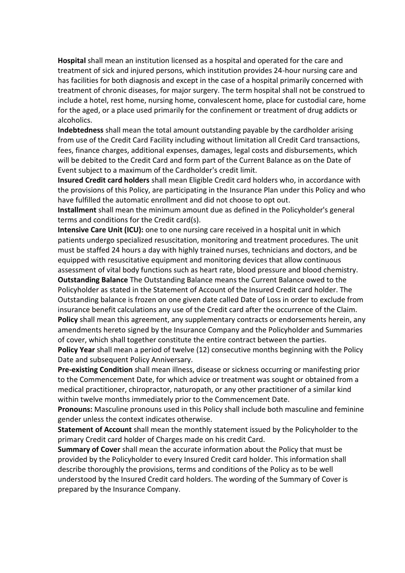**Hospital** shall mean an institution licensed as a hospital and operated for the care and treatment of sick and injured persons, which institution provides 24-hour nursing care and has facilities for both diagnosis and except in the case of a hospital primarily concerned with treatment of chronic diseases, for major surgery. The term hospital shall not be construed to include a hotel, rest home, nursing home, convalescent home, place for custodial care, home for the aged, or a place used primarily for the confinement or treatment of drug addicts or alcoholics.

**Indebtedness** shall mean the total amount outstanding payable by the cardholder arising from use of the Credit Card Facility including without limitation all Credit Card transactions, fees, finance charges, additional expenses, damages, legal costs and disbursements, which will be debited to the Credit Card and form part of the Current Balance as on the Date of Event subject to a maximum of the Cardholder's credit limit.

**Insured Credit card holders** shall mean Eligible Credit card holders who, in accordance with the provisions of this Policy, are participating in the Insurance Plan under this Policy and who have fulfilled the automatic enrollment and did not choose to opt out.

**Installment** shall mean the minimum amount due as defined in the Policyholder's general terms and conditions for the Credit card(s).

**Intensive Care Unit (ICU):** one to one nursing care received in a hospital unit in which patients undergo specialized resuscitation, monitoring and treatment procedures. The unit must be staffed 24 hours a day with highly trained nurses, technicians and doctors, and be equipped with resuscitative equipment and monitoring devices that allow continuous assessment of vital body functions such as heart rate, blood pressure and blood chemistry.

**Outstanding Balance** The Outstanding Balance means the Current Balance owed to the Policyholder as stated in the Statement of Account of the Insured Credit card holder. The Outstanding balance is frozen on one given date called Date of Loss in order to exclude from insurance benefit calculations any use of the Credit card after the occurrence of the Claim. **Policy** shall mean this agreement, any supplementary contracts or endorsements herein, any amendments hereto signed by the Insurance Company and the Policyholder and Summaries of cover, which shall together constitute the entire contract between the parties.

**Policy Year** shall mean a period of twelve (12) consecutive months beginning with the Policy Date and subsequent Policy Anniversary.

**Pre-existing Condition** shall mean illness, disease or sickness occurring or manifesting prior to the Commencement Date, for which advice or treatment was sought or obtained from a medical practitioner, chiropractor, naturopath, or any other practitioner of a similar kind within twelve months immediately prior to the Commencement Date.

**Pronouns:** Masculine pronouns used in this Policy shall include both masculine and feminine gender unless the context indicates otherwise.

**Statement of Account** shall mean the monthly statement issued by the Policyholder to the primary Credit card holder of Charges made on his credit Card.

**Summary of Cover** shall mean the accurate information about the Policy that must be provided by the Policyholder to every Insured Credit card holder. This information shall describe thoroughly the provisions, terms and conditions of the Policy as to be well understood by the Insured Credit card holders. The wording of the Summary of Cover is prepared by the Insurance Company.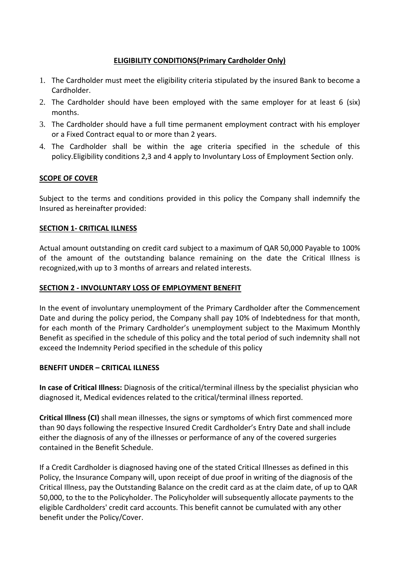## **ELIGIBILITY CONDITIONS(Primary Cardholder Only)**

- 1. The Cardholder must meet the eligibility criteria stipulated by the insured Bank to become a **Cardholder**
- 2. The Cardholder should have been employed with the same employer for at least 6 (six) months.
- 3. The Cardholder should have a full time permanent employment contract with his employer or a Fixed Contract equal to or more than 2 years.
- 4. The Cardholder shall be within the age criteria specified in the schedule of this policy.Eligibility conditions 2,3 and 4 apply to Involuntary Loss of Employment Section only.

## **SCOPE OF COVER**

Subject to the terms and conditions provided in this policy the Company shall indemnify the Insured as hereinafter provided:

## **SECTION 1- CRITICAL ILLNESS**

Actual amount outstanding on credit card subject to a maximum of QAR 50,000 Payable to 100% of the amount of the outstanding balance remaining on the date the Critical Illness is recognized,with up to 3 months of arrears and related interests.

#### **SECTION 2 - INVOLUNTARY LOSS OF EMPLOYMENT BENEFIT**

In the event of involuntary unemployment of the Primary Cardholder after the Commencement Date and during the policy period, the Company shall pay 10% of Indebtedness for that month, for each month of the Primary Cardholder's unemployment subject to the Maximum Monthly Benefit as specified in the schedule of this policy and the total period of such indemnity shall not exceed the Indemnity Period specified in the schedule of this policy

#### **BENEFIT UNDER – CRITICAL ILLNESS**

**In case of Critical Illness:** Diagnosis of the critical/terminal illness by the specialist physician who diagnosed it, Medical evidences related to the critical/terminal illness reported.

**Critical Illness (CI)** shall mean illnesses, the signs or symptoms of which first commenced more than 90 days following the respective Insured Credit Cardholder's Entry Date and shall include either the diagnosis of any of the illnesses or performance of any of the covered surgeries contained in the Benefit Schedule.

If a Credit Cardholder is diagnosed having one of the stated Critical Illnesses as defined in this Policy, the Insurance Company will, upon receipt of due proof in writing of the diagnosis of the Critical Illness, pay the Outstanding Balance on the credit card as at the claim date, of up to QAR 50,000, to the to the Policyholder. The Policyholder will subsequently allocate payments to the eligible Cardholders' credit card accounts. This benefit cannot be cumulated with any other benefit under the Policy/Cover.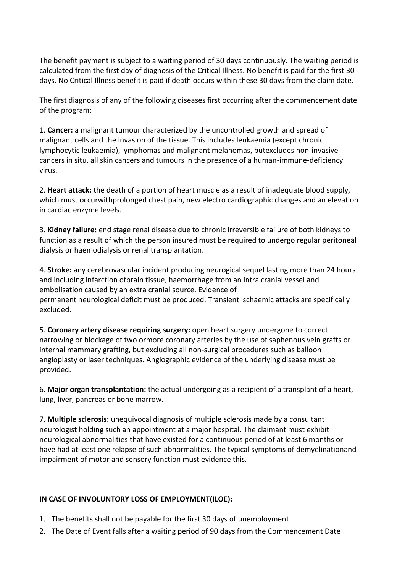The benefit payment is subject to a waiting period of 30 days continuously. The waiting period is calculated from the first day of diagnosis of the Critical Illness. No benefit is paid for the first 30 days. No Critical Illness benefit is paid if death occurs within these 30 days from the claim date.

The first diagnosis of any of the following diseases first occurring after the commencement date of the program:

1. **Cancer:** a malignant tumour characterized by the uncontrolled growth and spread of malignant cells and the invasion of the tissue. This includes leukaemia (except chronic lymphocytic leukaemia), lymphomas and malignant melanomas, butexcludes non-invasive cancers in situ, all skin cancers and tumours in the presence of a human-immune-deficiency virus.

2. **Heart attack:** the death of a portion of heart muscle as a result of inadequate blood supply, which must occurwithprolonged chest pain, new electro cardiographic changes and an elevation in cardiac enzyme levels.

3. **Kidney failure:** end stage renal disease due to chronic irreversible failure of both kidneys to function as a result of which the person insured must be required to undergo regular peritoneal dialysis or haemodialysis or renal transplantation.

4. **Stroke:** any cerebrovascular incident producing neurogical sequel lasting more than 24 hours and including infarction ofbrain tissue, haemorrhage from an intra cranial vessel and embolisation caused by an extra cranial source. Evidence of permanent neurological deficit must be produced. Transient ischaemic attacks are specifically excluded.

5. **Coronary artery disease requiring surgery:** open heart surgery undergone to correct narrowing or blockage of two ormore coronary arteries by the use of saphenous vein grafts or internal mammary grafting, but excluding all non-surgical procedures such as balloon angioplasty or laser techniques. Angiographic evidence of the underlying disease must be provided.

6. **Major organ transplantation:** the actual undergoing as a recipient of a transplant of a heart, lung, liver, pancreas or bone marrow.

7. **Multiple sclerosis:** unequivocal diagnosis of multiple sclerosis made by a consultant neurologist holding such an appointment at a major hospital. The claimant must exhibit neurological abnormalities that have existed for a continuous period of at least 6 months or have had at least one relapse of such abnormalities. The typical symptoms of demyelinationand impairment of motor and sensory function must evidence this.

# **IN CASE OF INVOLUNTORY LOSS OF EMPLOYMENT(ILOE):**

- 1. The benefits shall not be payable for the first 30 days of unemployment
- 2. The Date of Event falls after a waiting period of 90 days from the Commencement Date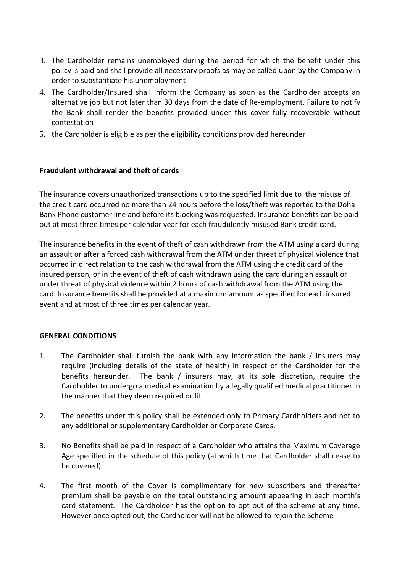- 3. The Cardholder remains unemployed during the period for which the benefit under this policy is paid and shall provide all necessary proofs as may be called upon by the Company in order to substantiate his unemployment
- 4. The Cardholder/Insured shall inform the Company as soon as the Cardholder accepts an alternative job but not later than 30 days from the date of Re-employment. Failure to notify the Bank shall render the benefits provided under this cover fully recoverable without contestation
- 5. the Cardholder is eligible as per the eligibility conditions provided hereunder

## **Fraudulent withdrawal and theft of cards**

The insurance covers unauthorized transactions up to the specified limit due to the misuse of the credit card occurred no more than 24 hours before the loss/theft was reported to the Doha Bank Phone customer line and before its blocking was requested. Insurance benefits can be paid out at most three times per calendar year for each fraudulently misused Bank credit card.

The insurance benefits in the event of theft of cash withdrawn from the ATM using a card during an assault or after a forced cash withdrawal from the ATM under threat of physical violence that occurred in direct relation to the cash withdrawal from the ATM using the credit card of the insured person, or in the event of theft of cash withdrawn using the card during an assault or under threat of physical violence within 2 hours of cash withdrawal from the ATM using the card. Insurance benefits shall be provided at a maximum amount as specified for each insured event and at most of three times per calendar year.

#### **GENERAL CONDITIONS**

- 1. The Cardholder shall furnish the bank with any information the bank / insurers may require (including details of the state of health) in respect of the Cardholder for the benefits hereunder. The bank / insurers may, at its sole discretion, require the Cardholder to undergo a medical examination by a legally qualified medical practitioner in the manner that they deem required or fit
- 2. The benefits under this policy shall be extended only to Primary Cardholders and not to any additional or supplementary Cardholder or Corporate Cards.
- 3. No Benefits shall be paid in respect of a Cardholder who attains the Maximum Coverage Age specified in the schedule of this policy (at which time that Cardholder shall cease to be covered).
- 4. The first month of the Cover is complimentary for new subscribers and thereafter premium shall be payable on the total outstanding amount appearing in each month's card statement. The Cardholder has the option to opt out of the scheme at any time. However once opted out, the Cardholder will not be allowed to rejoin the Scheme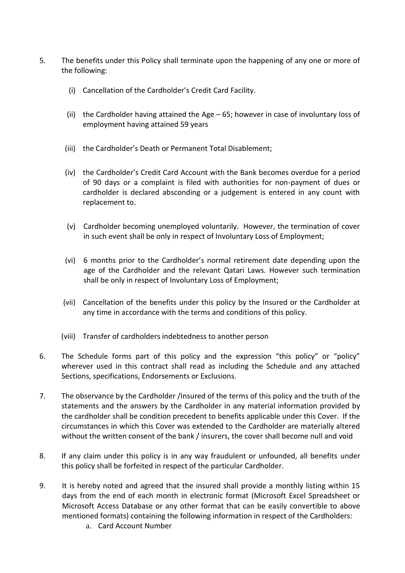- 5. The benefits under this Policy shall terminate upon the happening of any one or more of the following:
	- (i) Cancellation of the Cardholder's Credit Card Facility.
	- (ii) the Cardholder having attained the Age 65; however in case of involuntary loss of employment having attained 59 years
	- (iii) the Cardholder's Death or Permanent Total Disablement;
	- (iv) the Cardholder's Credit Card Account with the Bank becomes overdue for a period of 90 days or a complaint is filed with authorities for non-payment of dues or cardholder is declared absconding or a judgement is entered in any count with replacement to.
	- (v) Cardholder becoming unemployed voluntarily. However, the termination of cover in such event shall be only in respect of Involuntary Loss of Employment;
	- (vi) 6 months prior to the Cardholder's normal retirement date depending upon the age of the Cardholder and the relevant Qatari Laws. However such termination shall be only in respect of Involuntary Loss of Employment;
	- (vii) Cancellation of the benefits under this policy by the Insured or the Cardholder at any time in accordance with the terms and conditions of this policy.
	- (viii) Transfer of cardholders indebtedness to another person
- 6. The Schedule forms part of this policy and the expression "this policy" or "policy" wherever used in this contract shall read as including the Schedule and any attached Sections, specifications, Endorsements or Exclusions.
- 7. The observance by the Cardholder /Insured of the terms of this policy and the truth of the statements and the answers by the Cardholder in any material information provided by the cardholder shall be condition precedent to benefits applicable under this Cover. If the circumstances in which this Cover was extended to the Cardholder are materially altered without the written consent of the bank / insurers, the cover shall become null and void
- 8. If any claim under this policy is in any way fraudulent or unfounded, all benefits under this policy shall be forfeited in respect of the particular Cardholder.
- 9. It is hereby noted and agreed that the insured shall provide a monthly listing within 15 days from the end of each month in electronic format (Microsoft Excel Spreadsheet or Microsoft Access Database or any other format that can be easily convertible to above mentioned formats) containing the following information in respect of the Cardholders:
	- a. Card Account Number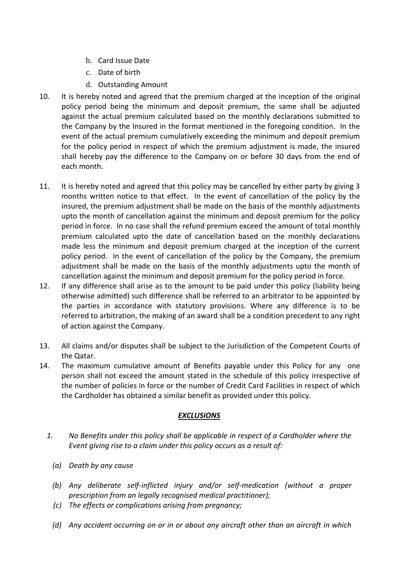- b. Card Issue Date
- c. Date of birth
- d. Outstanding Amount
- 10. It is hereby noted and agreed that the premium charged at the inception of the original policy period being the minimum and deposit premium, the same shall be adjusted against the actual premium calculated based on the monthly declarations submitted to the Company by the Insured in the format mentioned in the foregoing condition. In the event of the actual premium cumulatively exceeding the minimum and deposit premium for the policy period in respect of which the premium adjustment is made, the insured shall hereby pay the difference to the Company on or before 30 days from the end of each month.
- 11. It is hereby noted and agreed that this policy may be cancelled by either party by giving 3 months written notice to that effect. In the event of cancellation of the policy by the insured, the premium adjustment shall be made on the basis of the monthly adjustments upto the month of cancellation against the minimum and deposit premium for the policy period in force. In no case shall the refund premium exceed the amount of total monthly premium calculated upto the date of cancellation based on the monthly declarations made less the minimum and deposit premium charged at the inception of the current policy period. In the event of cancellation of the policy by the Company, the premium adjustment shall be made on the basis of the monthly adjustments upto the month of cancellation against the minimum and deposit premium for the policy period in force.
- 12. If any difference shall arise as to the amount to be paid under this policy (liability being otherwise admitted) such difference shall be referred to an arbitrator to be appointed by the parties in accordance with statutory provisions. Where any difference is to be referred to arbitration, the making of an award shall be a condition precedent to any right of action against the Company.
- 13. All claims and/or disputes shall be subject to the Jurisdiction of the Competent Courts of the Qatar.
- 14. The maximum cumulative amount of Benefits payable under this Policy for any one person shall not exceed the amount stated in the schedule of this policy irrespective of the number of policies in force or the number of Credit Card Facilities in respect of which the Cardholder has obtained a similar benefit as provided under this policy.

# *EXCLUSIONS*

- *1. No Benefits under this policy shall be applicable in respect of a Cardholder where the Event giving rise to a claim under this policy occurs as a result of:*
	- *(a) Death by any cause*
	- *(b) Any deliberate self-inflicted injury and/or self-medication (without a proper prescription from an legally recognised medical practitioner);*
	- *(c) The effects or complications arising from pregnancy;*
	- *(d) Any accident occurring on or in or about any aircraft other than an aircraft in which*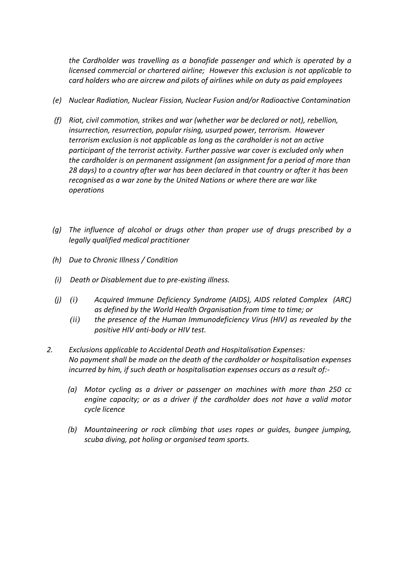*the Cardholder was travelling as a bonafide passenger and which is operated by a licensed commercial or chartered airline; However this exclusion is not applicable to card holders who are aircrew and pilots of airlines while on duty as paid employees*

- *(e) Nuclear Radiation, Nuclear Fission, Nuclear Fusion and/or Radioactive Contamination*
- *(f) Riot, civil commotion, strikes and war (whether war be declared or not), rebellion, insurrection, resurrection, popular rising, usurped power, terrorism. However terrorism exclusion is not applicable as long as the cardholder is not an active participant of the terrorist activity. Further passive war cover is excluded only when the cardholder is on permanent assignment (an assignment for a period of more than 28 days) to a country after war has been declared in that country or after it has been recognised as a war zone by the United Nations or where there are war like operations*
- *(g) The influence of alcohol or drugs other than proper use of drugs prescribed by a legally qualified medical practitioner*
- *(h) Due to Chronic Illness / Condition*
- *(i) Death or Disablement due to pre-existing illness.*
- *(j) (i) Acquired Immune Deficiency Syndrome (AIDS), AIDS related Complex (ARC) as defined by the World Health Organisation from time to time; or*
	- *(ii) the presence of the Human Immunodeficiency Virus (HIV) as revealed by the positive HIV anti-body or HIV test.*
- *2. Exclusions applicable to Accidental Death and Hospitalisation Expenses: No payment shall be made on the death of the cardholder or hospitalisation expenses incurred by him, if such death or hospitalisation expenses occurs as a result of:-*
	- *(a) Motor cycling as a driver or passenger on machines with more than 250 cc engine capacity; or as a driver if the cardholder does not have a valid motor cycle licence*
	- *(b) Mountaineering or rock climbing that uses ropes or guides, bungee jumping, scuba diving, pot holing or organised team sports.*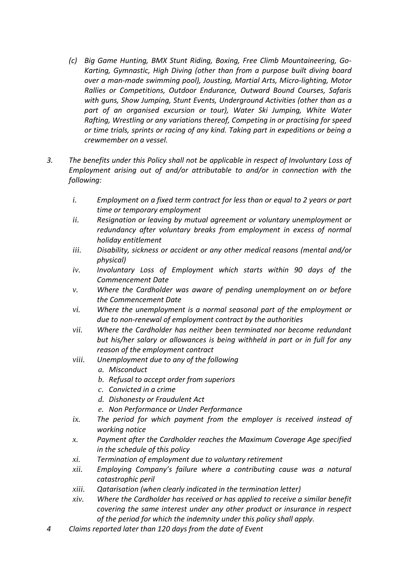- *(c) Big Game Hunting, BMX Stunt Riding, Boxing, Free Climb Mountaineering, Go-Karting, Gymnastic, High Diving (other than from a purpose built diving board over a man-made swimming pool), Jousting, Martial Arts, Micro-lighting, Motor Rallies or Competitions, Outdoor Endurance, Outward Bound Courses, Safaris with guns, Show Jumping, Stunt Events, Underground Activities (other than as a part of an organised excursion or tour), Water Ski Jumping, White Water Rafting, Wrestling or any variations thereof, Competing in or practising for speed or time trials, sprints or racing of any kind. Taking part in expeditions or being a crewmember on a vessel.*
- *3. The benefits under this Policy shall not be applicable in respect of Involuntary Loss of Employment arising out of and/or attributable to and/or in connection with the following:*
	- *i. Employment on a fixed term contract for less than or equal to 2 years or part time or temporary employment*
	- *ii. Resignation or leaving by mutual agreement or voluntary unemployment or redundancy after voluntary breaks from employment in excess of normal holiday entitlement*
	- *iii. Disability, sickness or accident or any other medical reasons (mental and/or physical)*
	- *iv. Involuntary Loss of Employment which starts within 90 days of the Commencement Date*
	- *v. Where the Cardholder was aware of pending unemployment on or before the Commencement Date*
	- *vi. Where the unemployment is a normal seasonal part of the employment or due to non-renewal of employment contract by the authorities*
	- *vii. Where the Cardholder has neither been terminated nor become redundant but his/her salary or allowances is being withheld in part or in full for any reason of the employment contract*
	- *viii. Unemployment due to any of the following*
		- *a. Misconduct*
		- *b. Refusal to accept order from superiors*
		- *c. Convicted in a crime*
		- *d. Dishonesty or Fraudulent Act*
		- *e. Non Performance or Under Performance*
	- *ix. The period for which payment from the employer is received instead of working notice*
	- *x. Payment after the Cardholder reaches the Maximum Coverage Age specified in the schedule of this policy*
	- *xi. Termination of employment due to voluntary retirement*
	- *xii. Employing Company's failure where a contributing cause was a natural catastrophic peril*
	- *xiii. Qatarisation (when clearly indicated in the termination letter)*
	- *xiv. Where the Cardholder has received or has applied to receive a similar benefit covering the same interest under any other product or insurance in respect of the period for which the indemnity under this policy shall apply.*
- *4 Claims reported later than 120 days from the date of Event*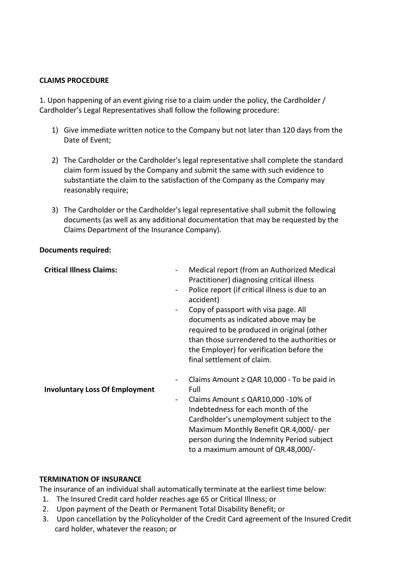#### **CLAIMS PROCEDURE**

1. Upon happening of an event giving rise to a claim under the policy, the Cardholder / Cardholder's Legal Representatives shall follow the following procedure:

- 1) Give immediate written notice to the Company but not later than 120 days from the Date of Event;
- 2) The Cardholder or the Cardholder's legal representative shall complete the standard claim form issued by the Company and submit the same with such evidence to substantiate the claim to the satisfaction of the Company as the Company may reasonably require;
- 3) The Cardholder or the Cardholder's legal representative shall submit the following documents (as well as any additional documentation that may be requested by the Claims Department of the Insurance Company).

## **Documents required:**

| <b>Critical Illness Claims:</b><br>$\blacksquare$<br>$\overline{\phantom{a}}$                     | Medical report (from an Authorized Medical<br>Practitioner) diagnosing critical illness<br>Police report (if critical illness is due to an<br>accident)<br>Copy of passport with visa page. All<br>documents as indicated above may be<br>required to be produced in original (other<br>than those surrendered to the authorities or<br>the Employer) for verification before the<br>final settlement of claim. |
|---------------------------------------------------------------------------------------------------|-----------------------------------------------------------------------------------------------------------------------------------------------------------------------------------------------------------------------------------------------------------------------------------------------------------------------------------------------------------------------------------------------------------------|
| $\qquad \qquad \blacksquare$<br><b>Involuntary Loss Of Employment</b><br>$\overline{\phantom{a}}$ | Claims Amount $\geq$ QAR 10,000 - To be paid in<br>Full<br>Claims Amount $\le$ QAR10,000 -10% of<br>Indebtedness for each month of the<br>Cardholder's unemployment subject to the<br>Maximum Monthly Benefit QR.4,000/- per<br>person during the Indemnity Period subject<br>to a maximum amount of QR.48,000/-                                                                                                |

#### **TERMINATION OF INSURANCE**

The insurance of an individual shall automatically terminate at the earliest time below:

- 1. The Insured Credit card holder reaches age 65 or Critical Illness; or
- 2. Upon payment of the Death or Permanent Total Disability Benefit; or
- 3. Upon cancellation by the Policyholder of the Credit Card agreement of the Insured Credit card holder, whatever the reason; or